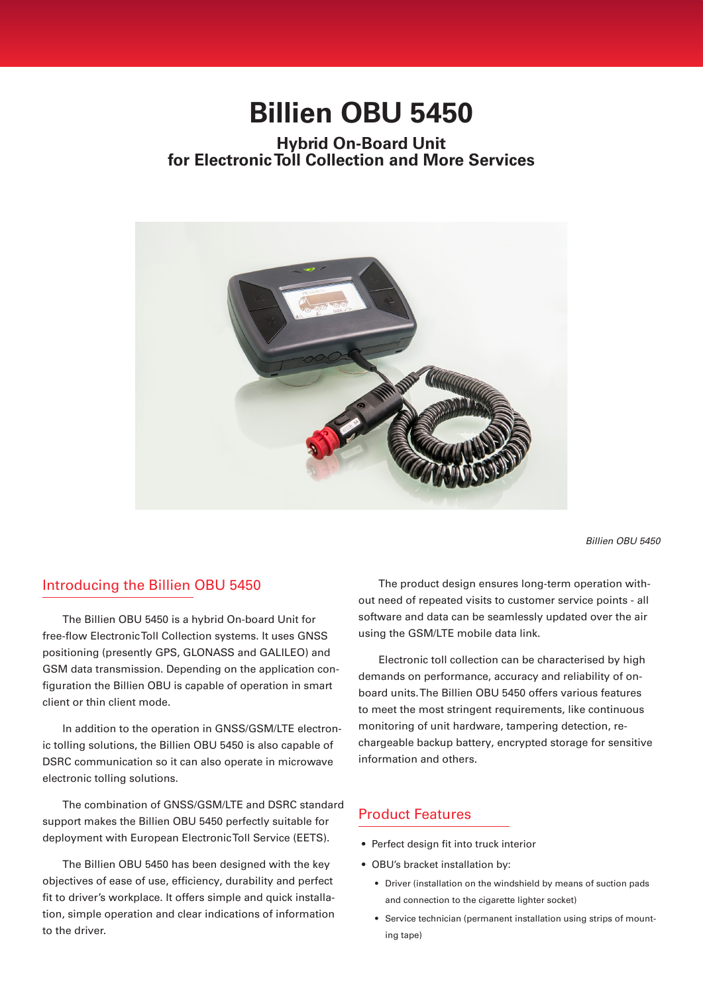# **Billien OBU 5450**

## **Hybrid On-Board Unit for Electronic Toll Collection and More Services**



*Billien OBU 5450*

#### Introducing the Billien OBU 5450

The Billien OBU 5450 is a hybrid On-board Unit for free-flow Electronic Toll Collection systems. It uses GNSS positioning (presently GPS, GLONASS and GALILEO) and GSM data transmission. Depending on the application configuration the Billien OBU is capable of operation in smart client or thin client mode.

In addition to the operation in GNSS/GSM/LTE electronic tolling solutions, the Billien OBU 5450 is also capable of DSRC communication so it can also operate in microwave electronic tolling solutions.

The combination of GNSS/GSM/LTE and DSRC standard support makes the Billien OBU 5450 perfectly suitable for deployment with European Electronic Toll Service (EETS).

The Billien OBU 5450 has been designed with the key objectives of ease of use, efficiency, durability and perfect fit to driver's workplace. It offers simple and quick installation, simple operation and clear indications of information to the driver.

The product design ensures long-term operation without need of repeated visits to customer service points - all software and data can be seamlessly updated over the air using the GSM/LTE mobile data link.

Electronic toll collection can be characterised by high demands on performance, accuracy and reliability of onboard units. The Billien OBU 5450 offers various features to meet the most stringent requirements, like continuous monitoring of unit hardware, tampering detection, rechargeable backup battery, encrypted storage for sensitive information and others.

#### Product Features

- Perfect design fit into truck interior
- OBU's bracket installation by:
	- Driver (installation on the windshield by means of suction pads and connection to the cigarette lighter socket)
	- Service technician (permanent installation using strips of mounting tape)